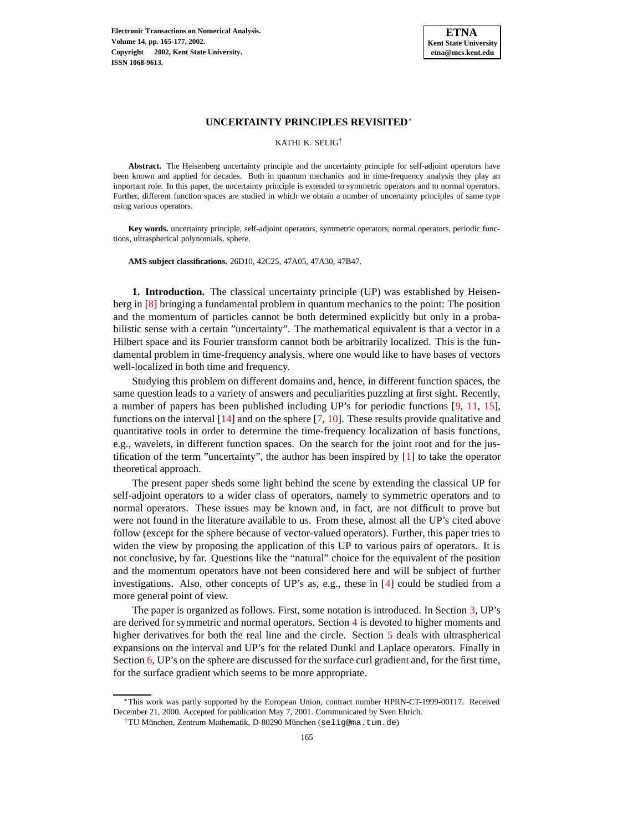

KATHI K. SELIG†

**Abstract.** The Heisenberg uncertainty principle and the uncertainty principle for self-adjoint operators have been known and applied for decades. Both in quantum mechanics and in time-frequency analysis they play an important role. In this paper, the uncertainty principle is extended to symmetric operators and to normal operators. Further, different function spaces are studied in which we obtain a number of uncertainty principles of same type using various operators.

**Key words.** uncertainty principle, self-adjoint operators, symmetric operators, normal operators, periodic functions, ultraspherical polynomials, sphere.

**AMS subject classifications.** 26D10, 42C25, 47A05, 47A30, 47B47.

**1. Introduction.** The classical uncertainty principle (UP) was established by Heisenberg in [\[8\]](#page-12-0) bringing a fundamental problem in quantum mechanics to the point: The position and the momentum of particles cannot be both determined explicitly but only in a probabilistic sense with a certain "uncertainty". The mathematical equivalent is that a vector in a Hilbert space and its Fourier transform cannot both be arbitrarily localized. This is the fundamental problem in time-frequency analysis, where one would like to have bases of vectors well-localized in both time and frequency.

Studying this problem on different domains and, hence, in different function spaces, the same question leads to a variety of answers and peculiarities puzzling at first sight. Recently, a number of papers has been published including UP's for periodic functions [\[9,](#page-12-1) [11,](#page-12-2) [15\]](#page-12-3), functions on the interval  $[14]$  and on the sphere  $[7, 10]$  $[7, 10]$  $[7, 10]$ . These results provide qualitative and quantitative tools in order to determine the time-frequency localization of basis functions, e.g., wavelets, in different function spaces. On the search for the joint root and for the justification of the term "uncertainty", the author has been inspired by [\[1\]](#page-12-7) to take the operator theoretical approach.

The present paper sheds some light behind the scene by extending the classical UP for self-adjoint operators to a wider class of operators, namely to symmetric operators and to normal operators. These issues may be known and, in fact, are not difficult to prove but were not found in the literature available to us. From these, almost all the UP's cited above follow (except for the sphere because of vector-valued operators). Further, this paper tries to widen the view by proposing the application of this UP to various pairs of operators. It is not conclusive, by far. Questions like the "natural" choice for the equivalent of the position and the momentum operators have not been considered here and will be subject of further investigations. Also, other concepts of UP's as, e.g., these in [\[4\]](#page-12-8) could be studied from a more general point of view.

The paper is organized as follows. First, some notation is introduced. In Section [3,](#page-2-0) UP's are derived for symmetric and normal operators. Section [4](#page-4-0) is devoted to higher moments and higher derivatives for both the real line and the circle. Section [5](#page-5-0) deals with ultraspherical expansions on the interval and UP's for the related Dunkl and Laplace operators. Finally in Section [6,](#page-8-0) UP's on the sphere are discussed for the surface curl gradient and, for the first time, for the surface gradient which seems to be more appropriate.

<sup>∗</sup>This work was partly supported by the European Union, contract number HPRN-CT-1999-00117. Received December 21, 2000. Accepted for publication May 7, 2001. Communicated by Sven Ehrich.

<sup>†</sup>TU München, Zentrum Mathematik, D-80290 München (selig@ma.tum.de)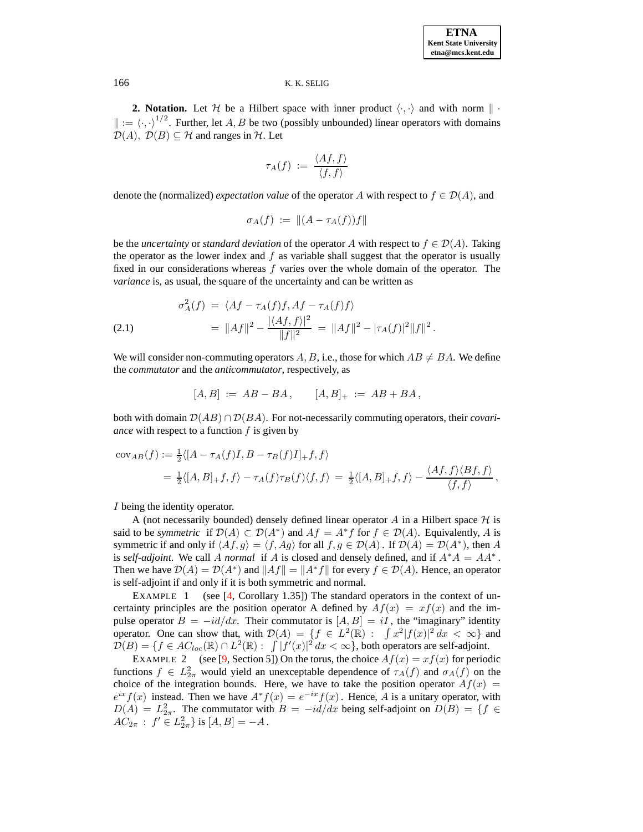**2. Notation.** Let H be a Hilbert space with inner product  $\langle \cdot, \cdot \rangle$  and with norm  $\| \cdot \|$  $\| := \langle \cdot, \cdot \rangle^{1/2}$ . Further, let A, B be two (possibly unbounded) linear operators with domains  $\mathcal{D}(A)$ ,  $\mathcal{D}(B) \subset \mathcal{H}$  and ranges in  $\mathcal{H}$ . Let

$$
\tau_A(f) \; := \; \frac{\langle Af, f \rangle}{\langle f, f \rangle}
$$

denote the (normalized) *expectation* value of the operator A with respect to  $f \in \mathcal{D}(A)$ , and

$$
\sigma_A(f) \; := \; \|(A - \tau_A(f))f\|
$$

be the *uncertainty* or *standard deviation* of the operator A with respect to  $f \in \mathcal{D}(A)$ . Taking the operator as the lower index and  $f$  as variable shall suggest that the operator is usually fixed in our considerations whereas f varies over the whole domain of the operator. The *variance* is, as usual, the square of the uncertainty and can be written as

(2.1) 
$$
\sigma_A^2(f) = \langle Af - \tau_A(f)f, Af - \tau_A(f)f \rangle \n= ||Af||^2 - \frac{|\langle Af, f \rangle|^2}{||f||^2} = ||Af||^2 - |\tau_A(f)|^2 ||f||^2.
$$

We will consider non-commuting operators A, B, i.e., those for which  $AB \neq BA$ . We define the *commutator* and the *anticommutator*, respectively, as

$$
[A, B] := AB - BA, \qquad [A, B]_+ := AB + BA,
$$

both with domain  $\mathcal{D}(AB) \cap \mathcal{D}(BA)$ . For not-necessarily commuting operators, their *covariance* with respect to a function  $f$  is given by

$$
\begin{aligned} \text{cov}_{AB}(f) &:= \frac{1}{2} \langle [A - \tau_A(f)I, B - \tau_B(f)I]_+ f, f \rangle \\ &= \frac{1}{2} \langle [A, B]_+ f, f \rangle - \tau_A(f) \tau_B(f) \langle f, f \rangle = \frac{1}{2} \langle [A, B]_+ f, f \rangle - \frac{\langle Af, f \rangle \langle Bf, f \rangle}{\langle f, f \rangle}, \end{aligned}
$$

I being the identity operator.

A (not necessarily bounded) densely defined linear operator  $A$  in a Hilbert space  $H$  is said to be *symmetric* if  $\mathcal{D}(A) \subset \mathcal{D}(A^*)$  and  $Af = A^*f$  for  $f \in \mathcal{D}(A)$ . Equivalently, A is symmetric if and only if  $\langle Af, g \rangle = \langle f, Ag \rangle$  for all  $f, g \in \mathcal{D}(A)$ . If  $\mathcal{D}(A) = \mathcal{D}(A^*)$ , then A is *self-adjoint*. We call A *normal* if A is closed and densely defined, and if  $A^*A = AA^*$ . Then we have  $\mathcal{D}(A) = \mathcal{D}(A^*)$  and  $||Af|| = ||A^*f||$  for every  $f \in \mathcal{D}(A)$ . Hence, an operator is self-adjoint if and only if it is both symmetric and normal.

EXAMPLE 1 (see [\[4,](#page-12-8) Corollary 1.35]) The standard operators in the context of uncertainty principles are the position operator A defined by  $Af(x) = xf(x)$  and the impulse operator  $B = -id/dx$ . Their commutator is  $[A, B] = iI$ , the "imaginary" identity operator. One can show that, with  $\mathcal{D}(A) = \{f \in L^2(\mathbb{R}) : |f(x)|^2 dx < \infty\}$  and  $D(B) = \{f \in AC_{loc}(\mathbb{R}) \cap L^2(\mathbb{R}) : |f'(x)|^2 dx < \infty\}$ , both operators are self-adjoint.

EXAMPLE 2 (see [\[9,](#page-12-1) Section 5]) On the torus, the choice  $Af(x) = xf(x)$  for periodic functions  $f \in L^2_{2\pi}$  would yield an unexceptable dependence of  $\tau_A(f)$  and  $\sigma_A(f)$  on the choice of the integration bounds. Here, we have to take the position operator  $Af(x)$  $e^{ix}f(x)$  instead. Then we have  $A^*f(x) = e^{-ix}f(x)$ . Hence, A is a unitary operator, with  $D(A) = L_{2\pi}^2$ . The commutator with  $B = -i d/dx$  being self-adjoint on  $D(B) = \{f \in$  $\dot{AC}_{2\pi}$ :  $f' \in L^2_{2\pi}$  is  $[A, B] = -A$ .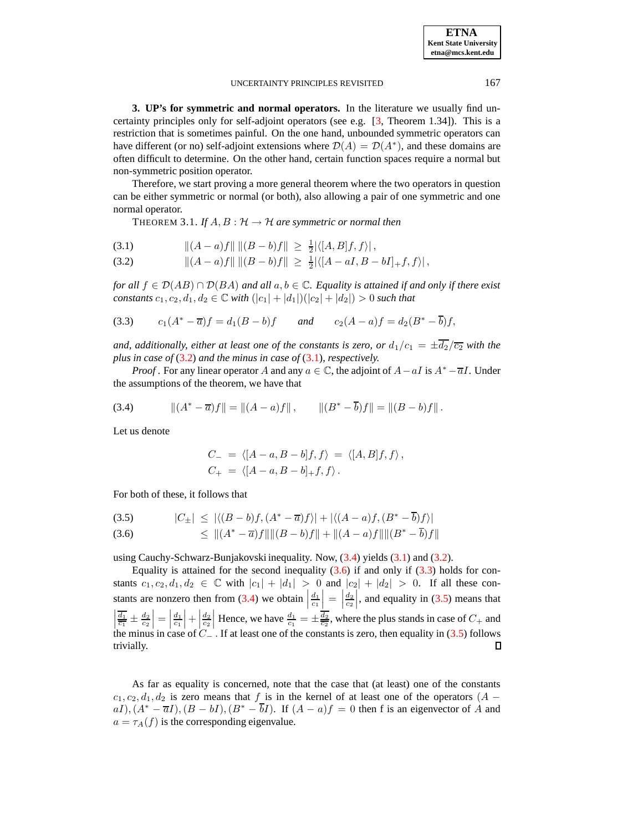| <b>ETNA</b>                  |
|------------------------------|
| <b>Kent State University</b> |
| etna@mcs.kent.edu            |

<span id="page-2-0"></span>**3. UP's for symmetric and normal operators.** In the literature we usually find uncertainty principles only for self-adjoint operators (see e.g. [\[3,](#page-12-9) Theorem 1.34]). This is a restriction that is sometimes painful. On the one hand, unbounded symmetric operators can have different (or no) self-adjoint extensions where  $\mathcal{D}(A) = \mathcal{D}(A^*)$ , and these domains are often difficult to determine. On the other hand, certain function spaces require a normal but non-symmetric position operator.

<span id="page-2-5"></span>Therefore, we start proving a more general theorem where the two operators in question can be either symmetric or normal (or both), also allowing a pair of one symmetric and one normal operator.

THEOREM 3.1. If  $A, B: H \to H$  are symmetric or normal then

<span id="page-2-1"></span>k(A − a)fk k(B − b)fk ≥ 1 2 (3.1) |h[A, B]f, fi| ,

$$
(3.2) \t\t ||(A-a)f|| ||(B-b)f|| \ge \frac{1}{2} |\langle [A-aI, B-bI]_+ f, f \rangle|,
$$

*for all*  $f \in \mathcal{D}(AB) \cap \mathcal{D}(BA)$  *and all*  $a, b \in \mathbb{C}$ *. Equality is attained if and only if there exist constants*  $c_1, c_2, d_1, d_2 \in \mathbb{C}$  *with*  $(|c_1| + |d_1|)(|c_2| + |d_2|) > 0$  *such that* 

<span id="page-2-4"></span>(3.3) 
$$
c_1(A^* - \overline{a})f = d_1(B - b)f
$$
 and  $c_2(A - a)f = d_2(B^* - \overline{b})f$ ,

*and, additionally, either at least one of the constants is zero, or*  $d_1/c_1 = \pm \overline{d_2}/\overline{c_2}$  *with the plus in case of* [\(3.2\)](#page-2-1) *and the minus in case of* [\(3.1\)](#page-2-1)*, respectively.*

*Proof* . For any linear operator A and any  $a \in \mathbb{C}$ , the adjoint of  $A - aI$  is  $A^* - \overline{a}I$ . Under the assumptions of the theorem, we have that

<span id="page-2-2"></span>(3.4) 
$$
\|(A^* - \overline{a})f\| = \|(A - a)f\|, \qquad \|(B^* - \overline{b})f\| = \|(B - b)f\|.
$$

Let us denote

$$
C_{-} = \langle [A - a, B - b]f, f \rangle = \langle [A, B]f, f \rangle,
$$
  
\n
$$
C_{+} = \langle [A - a, B - b]_{+}f, f \rangle.
$$

For both of these, it follows that

<span id="page-2-3"></span>
$$
(3.5) \qquad |C_{\pm}| \leq |\langle (B-b)f, (A^* - \overline{a})f \rangle| + |\langle (A-a)f, (B^* - \overline{b})f \rangle|
$$

$$
(3.6) \qquad \leq \| (A^* - \overline{a}) f \| \| (B - b) f \| + \| (A - a) f \| \| (B^* - \overline{b}) f \|
$$

using Cauchy-Schwarz-Bunjakovski inequality. Now,  $(3.4)$  yields  $(3.1)$  and  $(3.2)$ .

Equality is attained for the second inequality  $(3.6)$  if and only if  $(3.3)$  holds for constants  $c_1, c_2, d_1, d_2 \in \mathbb{C}$  with  $|c_1| + |d_1| > 0$  and  $|c_2| + |d_2| > 0$ . If all these constants are nonzero then from  $(3.4)$  we obtain stants are nonzero then from (3.4) we obtain  $\left|\frac{d_1}{c_1}\right| = \left|\frac{d_2}{c_2}\right|$ , and equality in [\(3.5\)](#page-2-3) means that  $\left|\frac{\overline{d_1}}{c_1}\right| = \frac{d_2}{c_2}\right|$ , and equality in (3.5) means that  $\left|\frac{\overline{d_1}}{c_1}\right| = \frac{d_2}{c_2}\right|$ . H  $\frac{d_1}{c_1}$  =  $\Big|$  $\frac{\overline{d_1}}{\overline{c_1}} \pm \frac{d_2}{\overline{c_2}}$  =  $\Big|$  $\left. \frac{d_1}{c_1} \right| + \left| \frac{1}{c_1} \right|$  $\frac{d_2}{d_2}$  Hence, we have  $\frac{d_1}{d_1} = \pm \frac{\overline{d_2}}{\overline{c_2}}$ , where the plus stands in case of  $C_+$  and the minus in case of  $C_-\cdot$  If at least one of the constants is zero, then equality in [\(3.5\)](#page-2-3) follows trivially.  $\Box$ 

As far as equality is concerned, note that the case that (at least) one of the constants  $c_1, c_2, d_1, d_2$  is zero means that f is in the kernel of at least one of the operators (A –  $aI$ ,  $(A^* - \overline{a}I)$ ,  $(B - bI)$ ,  $(B^* - \overline{b}I)$ . If  $(A - a)f = 0$  then f is an eigenvector of A and  $a = \tau_A(f)$  is the corresponding eigenvalue.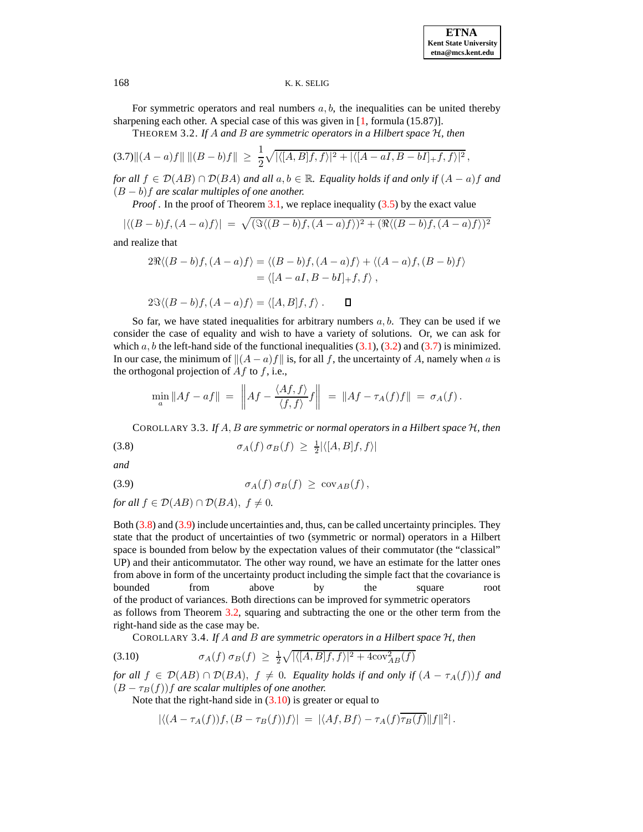<span id="page-3-3"></span>For symmetric operators and real numbers  $a, b$ , the inequalities can be united thereby sharpening each other. A special case of this was given in [\[1,](#page-12-7) formula (15.87)].

THEOREM 3.2. *If* A *and* B *are symmetric operators in a Hilbert space* H*, then*

<span id="page-3-0"></span>
$$
(3.7)\|(A-a)f\| \| (B-b)f\| \ \geq \ \frac{1}{2}\sqrt{|\langle [A,B]f,f\rangle|^2 + |\langle [A-aI,B-bI]_+f,f\rangle|^2} \,,
$$

*for all*  $f \in \mathcal{D}(AB) \cap \mathcal{D}(BA)$  *and all*  $a, b \in \mathbb{R}$ *. Equality holds if and only if*  $(A - a)f$  *and* (B − b)f *are scalar multiples of one another.*

*Proof*. In the proof of Theorem [3.1,](#page-2-5) we replace inequality [\(3.5\)](#page-2-3) by the exact value

$$
|\langle (B-b)f, (A-a)f \rangle| = \sqrt{(\Im \langle (B-b)f, (A-a)f \rangle)^2 + (\Re \langle (B-b)f, (A-a)f \rangle)^2}
$$

and realize that

$$
2\Re\langle (B-b)f, (A-a)f \rangle = \langle (B-b)f, (A-a)f \rangle + \langle (A-a)f, (B-b)f \rangle
$$
  
=  $\langle [A-aI, B-bI]_+ f, f \rangle$ ,

$$
2\Im\langle (B-b)f, (A-a)f \rangle = \langle [A,B]f, f \rangle . \qquad \Box
$$

So far, we have stated inequalities for arbitrary numbers  $a, b$ . They can be used if we consider the case of equality and wish to have a variety of solutions. Or, we can ask for which  $a, b$  the left-hand side of the functional inequalities  $(3.1), (3.2)$  $(3.1), (3.2)$  $(3.1), (3.2)$  and  $(3.7)$  is minimized. In our case, the minimum of  $||(A - a)f||$  is, for all f, the uncertainty of A, namely when a is the orthogonal projection of  $Af$  to  $f$ , i.e.,

$$
\min_a \|Af - af\| = \left\| Af - \frac{\langle Af, f \rangle}{\langle f, f \rangle} f \right\| = \|Af - \tau_A(f)f\| = \sigma_A(f).
$$

<span id="page-3-1"></span>COROLLARY 3.3. *If* A, B *are symmetric or normal operators in a Hilbert space* H*, then*

<span id="page-3-5"></span>
$$
\sigma_A(f) \sigma_B(f) \geq \frac{1}{2} |\langle [A, B]f, f \rangle|
$$

*and*

<span id="page-3-2"></span>(3.9) 
$$
\sigma_A(f) \sigma_B(f) \geq \operatorname{cov}_{AB}(f),
$$

*for all*  $f \in \mathcal{D}(AB) \cap \mathcal{D}(BA)$ ,  $f \neq 0$ .

Both [\(3.8\)](#page-3-1) and [\(3.9\)](#page-3-2) include uncertainties and, thus, can be called uncertainty principles. They state that the product of uncertainties of two (symmetric or normal) operators in a Hilbert space is bounded from below by the expectation values of their commutator (the "classical" UP) and their anticommutator. The other way round, we have an estimate for the latter ones from above in form of the uncertainty product including the simple fact that the covariance is bounded from above by the square root of the product of variances. Both directions can be improved for symmetric operators as follows from Theorem [3.2,](#page-3-3) squaring and subtracting the one or the other term from the right-hand side as the case may be.

COROLLARY 3.4. *If* A *and* B *are symmetric operators in a Hilbert space* H*, then*

<span id="page-3-4"></span>
$$
\sigma_A(f) \sigma_B(f) \geq \frac{1}{2} \sqrt{|\langle [A, B]f, f \rangle|^2 + 4\text{cov}_{AB}^2(f)}
$$

*for* all  $f \in \mathcal{D}(AB) \cap \mathcal{D}(BA)$ ,  $f \neq 0$ . *Equality holds if and only if*  $(A - \tau_A(f))f$  *and*  $(B - \tau_B(f))$ f are scalar multiples of one another.

Note that the right-hand side in  $(3.10)$  is greater or equal to

$$
\left| \langle (A - \tau_A(f))f, (B - \tau_B(f))f \rangle \right| \, = \, \left| \langle Af, Bf \rangle - \tau_A(f) \overline{\tau_B(f)} \right| |f|^2|.
$$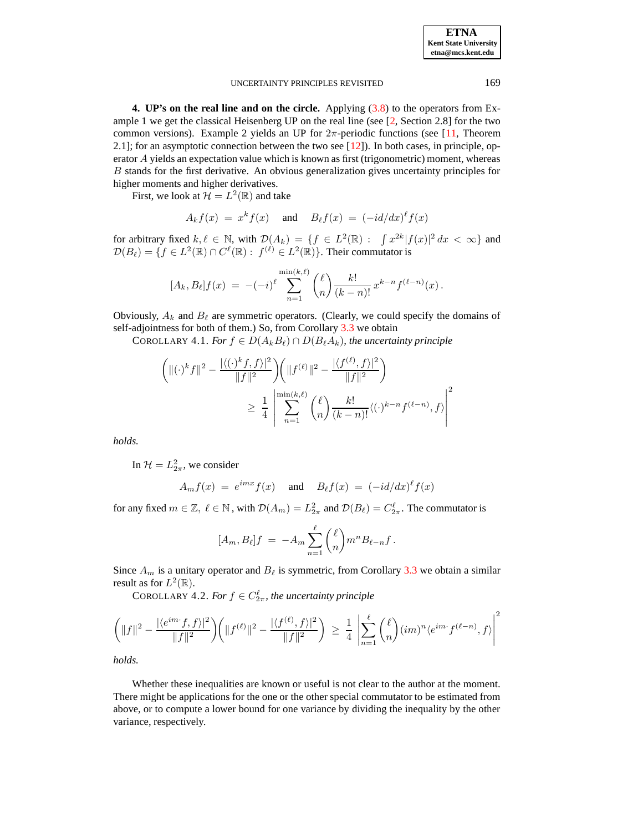| <b>ETNA</b>                  |
|------------------------------|
| <b>Kent State Universitv</b> |
| etna@mcs.kent.edu            |

<span id="page-4-0"></span>**4. UP's on the real line and on the circle.** Applying [\(3.8\)](#page-3-1) to the operators from Example 1 we get the classical Heisenberg UP on the real line (see [\[2,](#page-12-10) Section 2.8] for the two common versions). Example 2 yields an UP for  $2\pi$ -periodic functions (see [\[11,](#page-12-2) Theorem 2.1]; for an asymptotic connection between the two see [\[12\]](#page-12-11)). In both cases, in principle, operator A yields an expectation value which is known as first (trigonometric) moment, whereas B stands for the first derivative. An obvious generalization gives uncertainty principles for higher moments and higher derivatives.

First, we look at  $\mathcal{H} = L^2(\mathbb{R})$  and take

$$
A_k f(x) = x^k f(x) \quad \text{and} \quad B_\ell f(x) = (-id/dx)^\ell f(x)
$$

for arbitrary fixed  $k, \ell \in \mathbb{N}$ , with  $\mathcal{D}(A_k) = \{f \in L^2(\mathbb{R}) : \int x^{2k} |f(x)|^2 dx < \infty \}$  and  $\mathcal{D}(B_\ell) = \{f \in L^2(\mathbb{R}) \cap C^\ell(\mathbb{R}) : f^{(\ell)} \in L^2(\mathbb{R})\}$ . Their commutator is

$$
[A_k, B_\ell] f(x) = -(-i)^{\ell} \sum_{n=1}^{\min(k,\ell)} {\ell \choose n} \frac{k!}{(k-n)!} x^{k-n} f^{(\ell-n)}(x).
$$

Obviously,  $A_k$  and  $B_\ell$  are symmetric operators. (Clearly, we could specify the domains of self-adjointness for both of them.) So, from Corollary [3.3](#page-3-5) we obtain

COROLLARY 4.1. *For*  $f \in D(A_kB_\ell) \cap D(B_\ell A_k)$ *, the uncertainty principle* 

$$
\left( \| (\cdot)^k f \|^2 - \frac{|\langle (\cdot)^k f, f \rangle|^2}{\|f\|^2} \right) \left( \| f^{(\ell)} \|^2 - \frac{|\langle f^{(\ell)}, f \rangle|^2}{\|f\|^2} \right)
$$
  

$$
\geq \frac{1}{4} \left| \sum_{n=1}^{\min(k,\ell)} \binom{\ell}{n} \frac{k!}{(k-n)!} \langle (\cdot)^{k-n} f^{(\ell-n)}, f \rangle \right|^2
$$

*holds.*

In  $\mathcal{H} = L_{2\pi}^2$ , we consider

$$
A_m f(x) = e^{imx} f(x) \quad \text{and} \quad B_{\ell} f(x) = (-id/dx)^{\ell} f(x)
$$

for any fixed  $m \in \mathbb{Z}$ ,  $\ell \in \mathbb{N}$ , with  $\mathcal{D}(A_m) = L_{2\pi}^2$  and  $\mathcal{D}(B_\ell) = C_{2\pi}^\ell$ . The commutator is

$$
[A_m, B_\ell]f = -A_m \sum_{n=1}^\ell \binom{\ell}{n} m^n B_{\ell-n} f.
$$

Since  $A_m$  is a unitary operator and  $B_\ell$  is symmetric, from Corollary [3.3](#page-3-5) we obtain a similar result as for  $L^2(\mathbb{R})$ .

COROLLARY 4.2. *For*  $f \in C_{2\pi}^{\ell}$ , *the uncertainty principle* 

$$
\left(\|f\|^2 - \frac{|\langle e^{im\cdot}f,f\rangle|^2}{\|f\|^2}\right) \left(\|f^{(\ell)}\|^2 - \frac{|\langle f^{(\ell)},f\rangle|^2}{\|f\|^2}\right) \ \geq \ \frac{1}{4}\ \left|\sum_{n=1}^{\ell} {\ell \choose n} (im)^n \langle e^{im\cdot}f^{(\ell-n)},f\rangle\right|^2
$$

*holds.*

Whether these inequalities are known or useful is not clear to the author at the moment. There might be applications for the one or the other special commutator to be estimated from above, or to compute a lower bound for one variance by dividing the inequality by the other variance, respectively.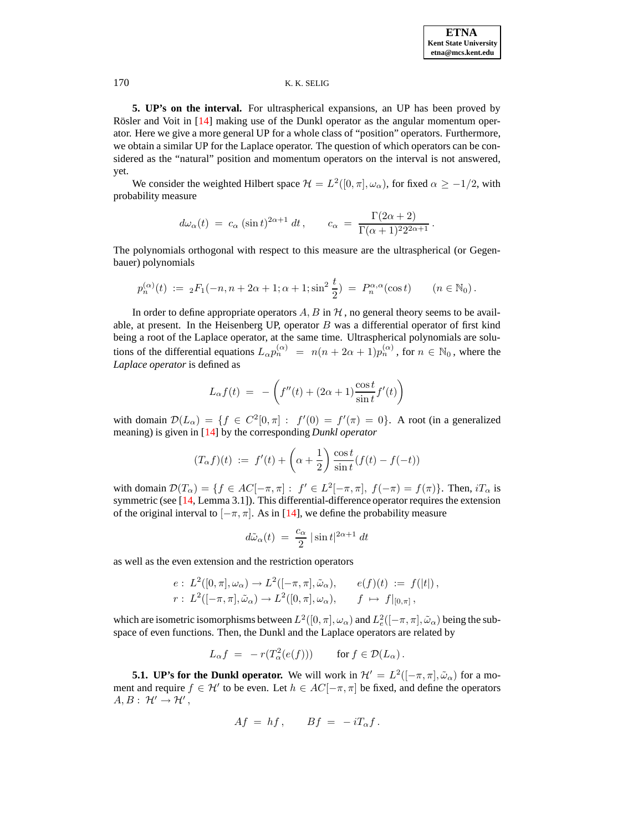<span id="page-5-0"></span>**5. UP's on the interval.** For ultraspherical expansions, an UP has been proved by Rösler and Voit in  $[14]$  making use of the Dunkl operator as the angular momentum operator. Here we give a more general UP for a whole class of "position" operators. Furthermore, we obtain a similar UP for the Laplace operator. The question of which operators can be considered as the "natural" position and momentum operators on the interval is not answered, yet.

We consider the weighted Hilbert space  $\mathcal{H} = L^2([0, \pi], \omega_\alpha)$ , for fixed  $\alpha \geq -1/2$ , with probability measure

$$
d\omega_{\alpha}(t) = c_{\alpha} (\sin t)^{2\alpha+1} dt, \qquad c_{\alpha} = \frac{\Gamma(2\alpha+2)}{\Gamma(\alpha+1)^{2}2^{2\alpha+1}}.
$$

The polynomials orthogonal with respect to this measure are the ultraspherical (or Gegenbauer) polynomials

$$
p_n^{(\alpha)}(t) := {}_2F_1(-n, n + 2\alpha + 1; \alpha + 1; \sin^2 \frac{t}{2}) = P_n^{\alpha, \alpha}(\cos t) \qquad (n \in \mathbb{N}_0).
$$

In order to define appropriate operators  $A, B$  in  $H$ , no general theory seems to be available, at present. In the Heisenberg UP, operator  $B$  was a differential operator of first kind being a root of the Laplace operator, at the same time. Ultraspherical polynomials are solutions of the differential equations  $L_{\alpha}p_n^{(\alpha)} = n(n + 2\alpha + 1)p_n^{(\alpha)}$ , for  $n \in \mathbb{N}_0$ , where the *Laplace operator* is defined as

$$
L_{\alpha}f(t) = -\left(f''(t) + (2\alpha + 1)\frac{\cos t}{\sin t}f'(t)\right)
$$

with domain  $\mathcal{D}(L_{\alpha}) = \{f \in C^2[0,\pi]: f'(0) = f'(\pi) = 0\}$ . A root (in a generalized meaning) is given in [\[14\]](#page-12-4) by the corresponding *Dunkl operator*

$$
(T_{\alpha}f)(t) := f'(t) + \left(\alpha + \frac{1}{2}\right) \frac{\cos t}{\sin t} (f(t) - f(-t))
$$

with domain  $\mathcal{D}(T_\alpha) = \{f \in AC[-\pi, \pi] : f' \in L^2[-\pi, \pi], f(-\pi) = f(\pi)\}\.$  Then,  $iT_\alpha$  is symmetric (see [\[14,](#page-12-4) Lemma 3.1]). This differential-difference operator requires the extension of the original interval to  $[-\pi, \pi]$ . As in [\[14\]](#page-12-4), we define the probability measure

$$
d\tilde{\omega}_{\alpha}(t) = \frac{c_{\alpha}}{2} |\sin t|^{2\alpha+1} dt
$$

as well as the even extension and the restriction operators

$$
e: L^2([0, \pi], \omega_\alpha) \to L^2([-\pi, \pi], \tilde{\omega}_\alpha), \qquad e(f)(t) := f(|t|),
$$
  

$$
r: L^2([-\pi, \pi], \tilde{\omega}_\alpha) \to L^2([0, \pi], \omega_\alpha), \qquad f \mapsto f|_{[0, \pi]},
$$

which are isometric isomorphisms between  $L^2([0, \pi], \omega_\alpha)$  and  $L^2_e([-\pi, \pi], \tilde{\omega}_\alpha)$  being the subspace of even functions. Then, the Dunkl and the Laplace operators are related by

$$
L_{\alpha}f = -r(T_{\alpha}^2(e(f))) \quad \text{for } f \in \mathcal{D}(L_{\alpha}).
$$

**5.1. UP's for the Dunkl operator.** We will work in  $\mathcal{H}' = L^2([-\pi,\pi], \tilde{\omega}_\alpha)$  for a moment and require  $f \in \mathcal{H}'$  to be even. Let  $h \in AC[-\pi, \pi]$  be fixed, and define the operators  $A, B: \mathcal{H}' \rightarrow \mathcal{H}'$ ,

$$
Af = hf, \qquad Bf = -iT_{\alpha}f.
$$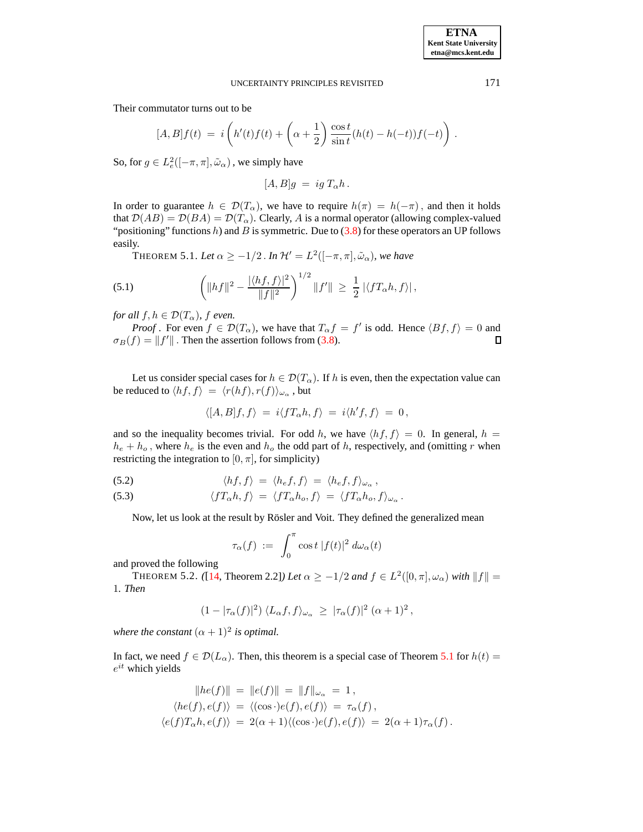Their commutator turns out to be

$$
[A, B]f(t) = i\left(h'(t)f(t) + \left(\alpha + \frac{1}{2}\right)\frac{\cos t}{\sin t}(h(t) - h(-t))f(-t)\right).
$$

So, for  $g \in L^2_e([-\pi, \pi], \tilde{\omega}_\alpha)$  , we simply have

$$
[A, B]g = ig T_{\alpha}h.
$$

<span id="page-6-0"></span>In order to guarantee  $h \in \mathcal{D}(T_\alpha)$ , we have to require  $h(\pi) = h(-\pi)$ , and then it holds that  $\mathcal{D}(AB) = \mathcal{D}(BA) = \mathcal{D}(T_{\alpha})$ . Clearly, A is a normal operator (allowing complex-valued "positioning" functions h) and B is symmetric. Due to  $(3.8)$  for these operators an UP follows easily.

**THEOREM 5.1.** Let  $\alpha \geq -1/2$  . In  $\mathcal{H}' = L^2([-\pi,\pi],\tilde{\omega}_{\alpha})$ , we have

<span id="page-6-3"></span>(5.1) 
$$
\left( \|hf\|^2 - \frac{|\langle hf, f \rangle|^2}{\|f\|^2} \right)^{1/2} \|f'\| \geq \frac{1}{2} |\langle fT_{\alpha}h, f \rangle|,
$$

*for all*  $f, h \in \mathcal{D}(T_\alpha)$ *, f even.* 

*Proof*. For even  $f \in \mathcal{D}(T_\alpha)$ , we have that  $T_\alpha f = f'$  is odd. Hence  $\langle Bf, f \rangle = 0$  and  $\sigma_B(f) = ||f'||$ . Then the assertion follows from [\(3.8\)](#page-3-1). 口

Let us consider special cases for  $h \in \mathcal{D}(T_\alpha)$ . If h is even, then the expectation value can be reduced to  $\langle hf, f\rangle \ = \ \langle r(hf), r(f)\rangle_{\omega_\alpha}$  , but

$$
\langle [A,B]f,f\rangle\ =\ i\langle fT_{\alpha}h,f\rangle\ =\ i\langle h'f,f\rangle\ =\ 0\,,
$$

and so the inequality becomes trivial. For odd h, we have  $\langle hf, f \rangle = 0$ . In general, h =  $h_e + h_o$ , where  $h_e$  is the even and  $h_o$  the odd part of h, respectively, and (omitting r when restricting the integration to  $[0, \pi]$ , for simplicity)

<span id="page-6-2"></span>(5.2) 
$$
\langle hf, f \rangle = \langle h_e f, f \rangle = \langle h_e f, f \rangle_{\omega_\alpha},
$$

(5.3) 
$$
\langle f T_{\alpha} h, f \rangle = \langle f T_{\alpha} h_o, f \rangle = \langle f T_{\alpha} h_o, f \rangle_{\omega_{\alpha}}.
$$

Now, let us look at the result by Rösler and Voit. They defined the generalized mean

$$
\tau_\alpha(f) \; := \; \int_0^\pi \cos t \; |f(t)|^2 \; d\omega_\alpha(t)
$$

<span id="page-6-1"></span>and proved the following

THEOREM 5.2. *(*[\[14,](#page-12-4) Theorem 2.2]*) Let*  $\alpha \ge -1/2$  *and*  $f \in L^2([0, \pi], \omega_\alpha)$  *with*  $||f|| =$ 1*. Then*

$$
(1-|\tau_{\alpha}(f)|^2)\langle L_{\alpha}f, f\rangle_{\omega_{\alpha}} \geq |\tau_{\alpha}(f)|^2 \; (\alpha+1)^2 \,,
$$

*where the constant*  $(\alpha + 1)^2$  *is optimal.* 

In fact, we need  $f \in \mathcal{D}(L_{\alpha})$ . Then, this theorem is a special case of Theorem [5.1](#page-6-0) for  $h(t) =$  $e^{it}$  which yields

$$
||he(f)|| = ||e(f)|| = ||f||_{\omega_{\alpha}} = 1,
$$
  
\n
$$
\langle he(f), e(f) \rangle = \langle (\cos \cdot) e(f), e(f) \rangle = \tau_{\alpha}(f),
$$
  
\n
$$
\langle e(f)T_{\alpha}h, e(f) \rangle = 2(\alpha + 1)\langle (\cos \cdot) e(f), e(f) \rangle = 2(\alpha + 1)\tau_{\alpha}(f).
$$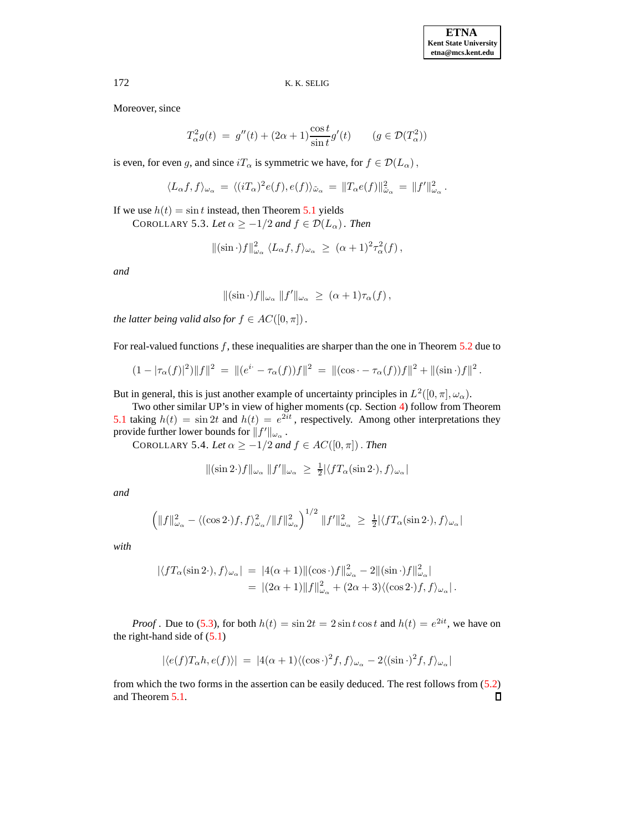Moreover, since

$$
T_{\alpha}^{2}g(t) = g''(t) + (2\alpha + 1)\frac{\cos t}{\sin t}g'(t) \qquad (g \in \mathcal{D}(T_{\alpha}^{2}))
$$

is even, for even g, and since  $iT_{\alpha}$  is symmetric we have, for  $f \in \mathcal{D}(L_{\alpha})$ ,

$$
\langle L_{\alpha}f, f \rangle_{\omega_{\alpha}} = \langle (iT_{\alpha})^2 e(f), e(f) \rangle_{\tilde{\omega}_{\alpha}} = ||T_{\alpha}e(f)||_{\tilde{\omega}_{\alpha}}^2 = ||f'||_{\omega_{\alpha}}^2.
$$

If we use  $h(t) = \sin t$  instead, then Theorem [5.1](#page-6-0) yields

COROLLARY 5.3. Let  $\alpha \ge -1/2$  and  $f \in \mathcal{D}(L_{\alpha})$ . Then

$$
\|(\sin \cdot)f\|_{\omega_{\alpha}}^2 \langle L_{\alpha}f, f\rangle_{\omega_{\alpha}} \geq (\alpha+1)^2 \tau_{\alpha}^2(f),
$$

*and*

$$
\|(\sin \cdot)f\|_{\omega_{\alpha}}\|f'\|_{\omega_{\alpha}} \geq (\alpha+1)\tau_{\alpha}(f),
$$

*the latter being valid also for*  $f \in AC([0, \pi])$ .

For real-valued functions f, these inequalities are sharper than the one in Theorem [5.2](#page-6-1) due to

$$
(1 - |\tau_{\alpha}(f)|^2) \|f\|^2 = \| (e^{i \cdot} - \tau_{\alpha}(f))f\|^2 = \| (\cos \cdot - \tau_{\alpha}(f))f\|^2 + \| (\sin \cdot)f\|^2.
$$

But in general, this is just another example of uncertainty principles in  $L^2([0, \pi], \omega_\alpha)$ .

Two other similar UP's in view of higher moments (cp. Section [4\)](#page-4-0) follow from Theorem [5.1](#page-6-0) taking  $h(t) = \sin 2t$  and  $h(t) = e^{2it}$ , respectively. Among other interpretations they provide further lower bounds for  $||f'||_{\omega_{\alpha}}$ .

COROLLARY 5.4. *Let*  $\alpha \ge -1/2$  *and*  $f \in AC([0, \pi])$ . *Then* 

$$
\|(\sin 2\cdot)f\|_{\omega_\alpha}\,\|f'\|_{\omega_\alpha} \ \geq \ \tfrac12 |\langle f T_\alpha(\sin 2\cdot), f\rangle_{\omega_\alpha}|
$$

*and*

$$
\left(\|f\|_{\omega_{\alpha}}^2 - \langle (\cos 2\cdot)f, f \rangle_{\omega_{\alpha}}^2 / \|f\|_{\omega_{\alpha}}^2 \right)^{1/2} \|f'\|_{\omega_{\alpha}}^2 \ge \frac{1}{2} |\langle fT_{\alpha}(\sin 2\cdot), f \rangle_{\omega_{\alpha}}|
$$

*with*

$$
\begin{aligned} |\langle f T_{\alpha}(\sin 2 \cdot), f \rangle_{\omega_{\alpha}}| &= |4(\alpha + 1)| |(\cos \cdot) f||_{\omega_{\alpha}}^2 - 2 ||(\sin \cdot) f||_{\omega_{\alpha}}^2| \\ &= |(2\alpha + 1)| |f||_{\omega_{\alpha}}^2 + (2\alpha + 3) \langle (\cos 2 \cdot) f, f \rangle_{\omega_{\alpha}}|. \end{aligned}
$$

*Proof*. Due to [\(5.3\)](#page-6-2), for both  $h(t) = \sin 2t = 2 \sin t \cos t$  and  $h(t) = e^{2it}$ , we have on the right-hand side of  $(5.1)$ 

$$
|\langle e(f)T_{\alpha}h, e(f)\rangle| = |4(\alpha+1)\langle (\cos\cdot)^2 f, f\rangle_{\omega_{\alpha}} - 2\langle (\sin\cdot)^2 f, f\rangle_{\omega_{\alpha}}|
$$

from which the two forms in the assertion can be easily deduced. The rest follows from [\(5.2\)](#page-6-2) and Theorem [5.1.](#page-6-0) $\Box$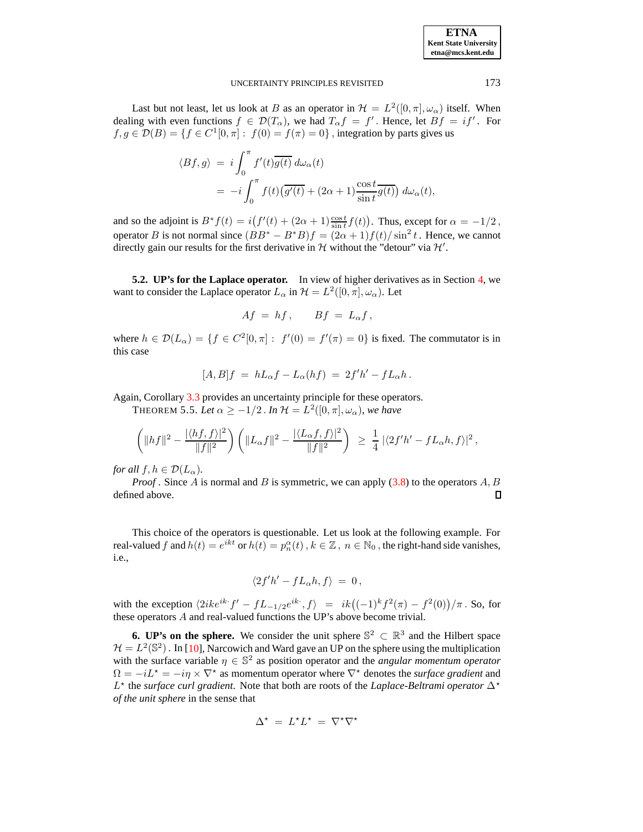| <b>ETNA</b>                  |
|------------------------------|
| <b>Kent State University</b> |
| etna@mcs.kent.edu            |

Last but not least, let us look at B as an operator in  $\mathcal{H} = L^2([0, \pi], \omega_\alpha)$  itself. When dealing with even functions  $f \in \mathcal{D}(T_\alpha)$ , we had  $T_\alpha f = f'$ . Hence, let  $Bf = if'$ . For  $f, g \in \mathcal{D}(B) = \{f \in C^1[0, \pi]: f(0) = f(\pi) = 0\}$ , integration by parts gives us

$$
\langle Bf, g \rangle = i \int_0^{\pi} f'(t) \overline{g(t)} d\omega_{\alpha}(t)
$$
  
=  $-i \int_0^{\pi} f(t) (\overline{g'(t)} + (2\alpha + 1) \frac{\cos t}{\sin t} \overline{g(t)}) d\omega_{\alpha}(t),$ 

and so the adjoint is  $B^* f(t) = i(f'(t) + (2\alpha + 1) \frac{\cos t}{\sin t} f(t))$ . Thus, except for  $\alpha = -1/2$ , operator B is not normal since  $(BB^* - B^*B)f = (2\alpha + 1)f(t)/\sin^2 t$ . Hence, we cannot directly gain our results for the first derivative in  $H$  without the "detour" via  $H'$ .

**5.2. UP's for the Laplace operator.** In view of higher derivatives as in Section [4,](#page-4-0) we want to consider the Laplace operator  $L_{\alpha}$  in  $\mathcal{H} = L^2([0, \pi], \omega_{\alpha})$ . Let

$$
Af = hf, \qquad Bf = L_{\alpha}f,
$$

where  $h \in \mathcal{D}(L_{\alpha}) = \{f \in C^2[0,\pi]: f'(0) = f'(\pi) = 0\}$  is fixed. The commutator is in this case

$$
[A,B]f = hL_{\alpha}f - L_{\alpha}(hf) = 2f'h' - fL_{\alpha}h.
$$

Again, Corollary [3.3](#page-3-5) provides an uncertainty principle for these operators.

**THEOREM 5.5.** Let  $\alpha \geq -1/2$  . In  $\mathcal{H} = L^2([0,\pi],\omega_\alpha)$ , we have

$$
\left(\|hf\|^2 - \frac{|\langle hf, f\rangle|^2}{\|f\|^2}\right) \left(\|L_\alpha f\|^2 - \frac{|\langle L_\alpha f, f\rangle|^2}{\|f\|^2}\right) \geq \frac{1}{4} \left|\langle 2f'h' - fL_\alpha h, f\rangle\right|^2,
$$

*for all*  $f, h \in \mathcal{D}(L_{\alpha})$ .

*Proof* . Since A is normal and B is symmetric, we can apply  $(3.8)$  to the operators A, B defined above. П

This choice of the operators is questionable. Let us look at the following example. For real-valued f and  $h(t) = e^{ikt}$  or  $h(t) = p_n^{\alpha}(t)$ ,  $k \in \mathbb{Z}$ ,  $n \in \mathbb{N}_0$ , the right-hand side vanishes, i.e.,

$$
\langle 2f'h'-fL_{\alpha}h,f\rangle = 0,
$$

with the exception  $\langle 2ike^{ik} \cdot f' - fL_{-1/2}e^{ik} \cdot, f \rangle = ik \big( (-1)^k f^2(\pi) - f^2(0) \big) / \pi$ . So, for these operators A and real-valued functions the UP's above become trivial.

<span id="page-8-0"></span>**6. UP's on the sphere.** We consider the unit sphere  $\mathbb{S}^2 \subset \mathbb{R}^3$  and the Hilbert space  $\mathcal{H} = L^2(\mathbb{S}^2)$ . In [\[10\]](#page-12-6), Narcowich and Ward gave an UP on the sphere using the multiplication with the surface variable  $\eta \in \mathbb{S}^2$  as position operator and the *angular momentum operator*  $\Omega = -iL^* = -i\eta \times \nabla^*$  as momentum operator where  $\nabla^*$  denotes the *surface gradient* and L ? the *surface curl gradient*. Note that both are roots of the *Laplace-Beltrami operator* ∆? *of the unit sphere* in the sense that

$$
\Delta^\star\ =\ L^\star L^\star\ =\ \nabla^\star\nabla^\star
$$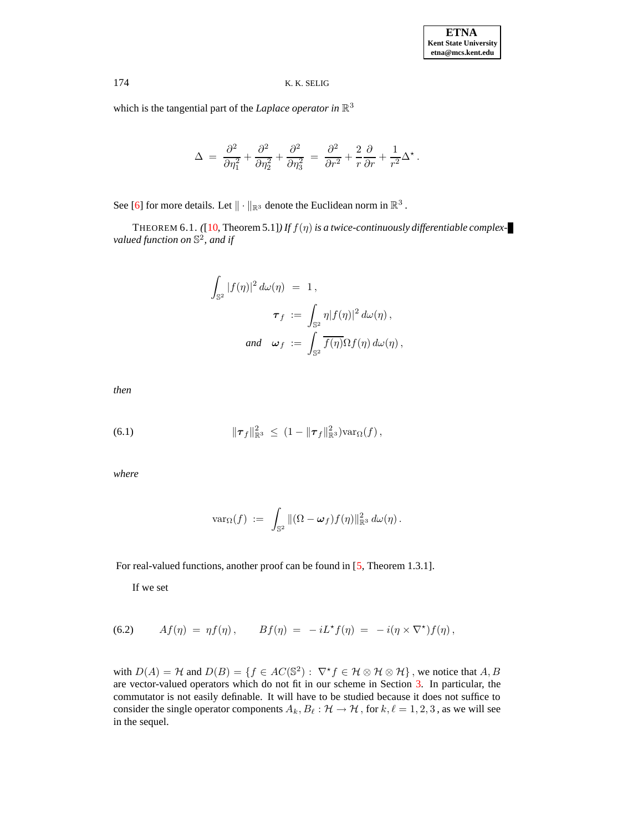which is the tangential part of the *Laplace operator* in  $\mathbb{R}^3$ 

<span id="page-9-2"></span>
$$
\Delta = \frac{\partial^2}{\partial \eta_1^2} + \frac{\partial^2}{\partial \eta_2^2} + \frac{\partial^2}{\partial \eta_3^2} = \frac{\partial^2}{\partial r^2} + \frac{2}{r} \frac{\partial}{\partial r} + \frac{1}{r^2} \Delta^*.
$$

See [\[6\]](#page-12-12) for more details. Let  $\|\cdot\|_{\mathbb{R}^3}$  denote the Euclidean norm in  $\mathbb{R}^3$ .

THEOREM 6.1. *(*[\[10,](#page-12-6) Theorem 5.1]*) If*  $f(\eta)$  *is a twice-continuously differentiable complexvalued function on* S 2 *, and if*

$$
\int_{\mathbb{S}^2} |f(\eta)|^2 d\omega(\eta) = 1,
$$
  

$$
\tau_f := \int_{\mathbb{S}^2} \eta |f(\eta)|^2 d\omega(\eta),
$$
  
and 
$$
\omega_f := \int_{\mathbb{S}^2} \overline{f(\eta)} \Omega f(\eta) d\omega(\eta),
$$

*then*

<span id="page-9-1"></span>(6.1) 
$$
\|\tau_f\|_{\mathbb{R}^3}^2 \leq (1 - \|\tau_f\|_{\mathbb{R}^3}^2) \text{var}_{\Omega}(f),
$$

*where*

$$
\text{var}_{\Omega}(f) \; := \; \int_{\mathbb{S}^2} \|(\Omega - \boldsymbol{\omega}_f) f(\eta)\|_{\mathbb{R}^3}^2 \, d\omega(\eta) \, .
$$

For real-valued functions, another proof can be found in [\[5,](#page-12-13) Theorem 1.3.1].

If we set

<span id="page-9-0"></span>(6.2) 
$$
Af(\eta) = \eta f(\eta), \qquad Bf(\eta) = -iL^*f(\eta) = -i(\eta \times \nabla^*)f(\eta),
$$

with  $D(A) = H$  and  $D(B) = \{f \in AC(\mathbb{S}^2) : \nabla^{\star} f \in H \otimes H \otimes H\}$ , we notice that  $A, B$ are vector-valued operators which do not fit in our scheme in Section [3.](#page-2-0) In particular, the commutator is not easily definable. It will have to be studied because it does not suffice to consider the single operator components  $A_k, B_\ell : \mathcal{H} \to \mathcal{H}$ , for  $k, \ell = 1, 2, 3$ , as we will see in the sequel.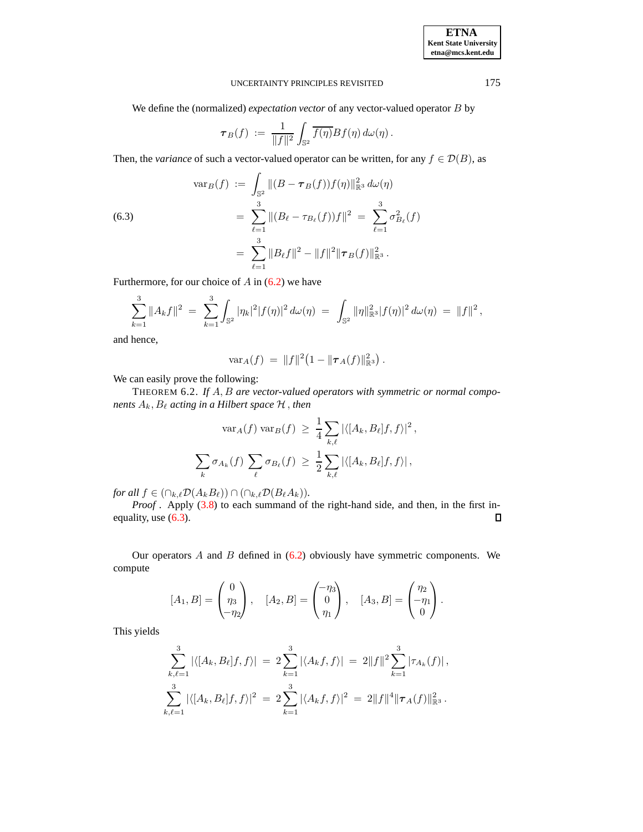We define the (normalized) *expectation vector* of any vector-valued operator B by

$$
\boldsymbol{\tau}_B(f) \; := \; \frac{1}{\|f\|^2} \int_{\mathbb{S}^2} \overline{f(\eta)} Bf(\eta) \, d\omega(\eta) \, .
$$

Then, the *variance* of such a vector-valued operator can be written, for any  $f \in \mathcal{D}(B)$ , as

<span id="page-10-0"></span>(6.3)  

$$
\begin{aligned}\n\text{var}_B(f) &:= \int_{\mathbb{S}^2} \|(B - \tau_B(f))f(\eta)\|_{\mathbb{R}^3}^2 \, d\omega(\eta) \\
&= \sum_{\ell=1}^3 \|(B_\ell - \tau_{B_\ell}(f))f\|^2 = \sum_{\ell=1}^3 \sigma_{B_\ell}^2(f) \\
&= \sum_{\ell=1}^3 \|B_\ell f\|^2 - \|f\|^2 \|\tau_B(f)\|_{\mathbb{R}^3}^2.\n\end{aligned}
$$

Furthermore, for our choice of  $A$  in  $(6.2)$  we have

$$
\sum_{k=1}^3 \|A_k f\|^2 = \sum_{k=1}^3 \int_{\mathbb{S}^2} |\eta_k|^2 |f(\eta)|^2 d\omega(\eta) = \int_{\mathbb{S}^2} \|\eta\|_{\mathbb{R}^3}^2 |f(\eta)|^2 d\omega(\eta) = \|f\|^2,
$$

and hence,

<span id="page-10-1"></span>
$$
\text{var}_A(f) = ||f||^2 (1 - ||\boldsymbol{\tau}_A(f)||_{\mathbb{R}^3}^2).
$$

We can easily prove the following:

THEOREM 6.2. *If* A, B *are vector-valued operators with symmetric or normal components*  $A_k$ ,  $B_\ell$  *acting in a Hilbert space*  $H$ , *then* 

$$
\operatorname{var}_A(f) \operatorname{var}_B(f) \ge \frac{1}{4} \sum_{k,\ell} |\langle [A_k, B_\ell]f, f \rangle|^2,
$$
  

$$
\sum_k \sigma_{A_k}(f) \sum_{\ell} \sigma_{B_\ell}(f) \ge \frac{1}{2} \sum_{k,\ell} |\langle [A_k, B_\ell]f, f \rangle|,
$$

*for all*  $f \in (\bigcap_{k,\ell} \mathcal{D}(A_kB_\ell)) \cap (\bigcap_{k,\ell} \mathcal{D}(B_\ell A_k)).$ 

*Proof*. Apply [\(3.8\)](#page-3-1) to each summand of the right-hand side, and then, in the first inequality, use [\(6.3\)](#page-10-0).  $\Box$ 

Our operators  $A$  and  $B$  defined in  $(6.2)$  obviously have symmetric components. We compute

$$
[A_1, B] = \begin{pmatrix} 0 \\ \eta_3 \\ -\eta_2 \end{pmatrix}, \quad [A_2, B] = \begin{pmatrix} -\eta_3 \\ 0 \\ \eta_1 \end{pmatrix}, \quad [A_3, B] = \begin{pmatrix} \eta_2 \\ -\eta_1 \\ 0 \end{pmatrix}.
$$

This yields

$$
\sum_{k,\ell=1}^3 |\langle [A_k, B_\ell]f, f \rangle| = 2 \sum_{k=1}^3 |\langle A_k f, f \rangle| = 2 ||f||^2 \sum_{k=1}^3 |\tau_{A_k}(f)|,
$$
  

$$
\sum_{k,\ell=1}^3 |\langle [A_k, B_\ell]f, f \rangle|^2 = 2 \sum_{k=1}^3 |\langle A_k f, f \rangle|^2 = 2 ||f||^4 ||\tau_A(f)||_{\mathbb{R}^3}^2.
$$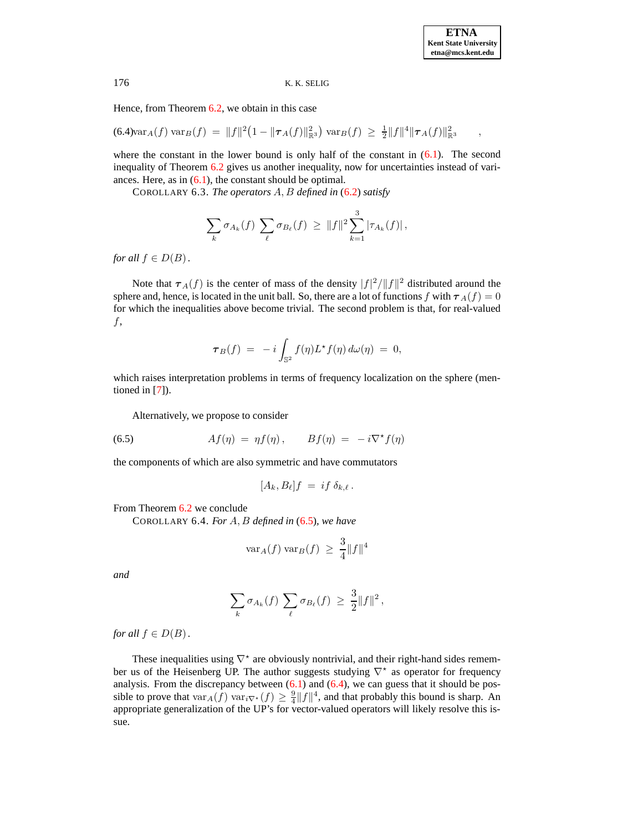Hence, from Theorem [6.2,](#page-10-1) we obtain in this case

<span id="page-11-1"></span> $(6.4) \text{var}_A(f) \text{ var}_B(f) = ||f||^2 (1 - ||\boldsymbol{\tau}_A(f)||_{\mathbb{R}^3}^2) \text{ var}_B(f) \ge \frac{1}{2} ||f||^4 ||\boldsymbol{\tau}_A(f)||_{\mathbb{R}^3}^2$ 

where the constant in the lower bound is only half of the constant in  $(6.1)$ . The second inequality of Theorem [6.2](#page-10-1) gives us another inequality, now for uncertainties instead of variances. Here, as in  $(6.1)$ , the constant should be optimal.

COROLLARY 6.3. *The operators* A, B *defined in* [\(6.2\)](#page-9-0) *satisfy*

<span id="page-11-2"></span>
$$
\sum_{k} \sigma_{A_k}(f) \sum_{\ell} \sigma_{B_{\ell}}(f) \geq ||f||^2 \sum_{k=1}^3 |\tau_{A_k}(f)|,
$$

*for all*  $f \in D(B)$ *.* 

Note that  $\tau_A(f)$  is the center of mass of the density  $|f|^2/||f||^2$  distributed around the sphere and, hence, is located in the unit ball. So, there are a lot of functions f with  $\tau_A(f) = 0$ for which the inequalities above become trivial. The second problem is that, for real-valued f,

$$
\boldsymbol{\tau}_B(f) ~=~ -i\int_{\mathbb{S}^2} f(\eta) L^{\star} f(\eta) \, d\omega(\eta) ~=~ 0,
$$

which raises interpretation problems in terms of frequency localization on the sphere (mentioned in [\[7\]](#page-12-5)).

Alternatively, we propose to consider

<span id="page-11-0"></span>(6.5) 
$$
Af(\eta) = \eta f(\eta), \qquad Bf(\eta) = -i\nabla^{\star} f(\eta)
$$

the components of which are also symmetric and have commutators

$$
[A_k, B_\ell]f = if \delta_{k,\ell}.
$$

From Theorem [6.2](#page-10-1) we conclude

<span id="page-11-3"></span>COROLLARY 6.4. *For* A, B *defined in* [\(6.5\)](#page-11-0)*, we have*

$$
\text{var}_A(f) \text{ var}_B(f) \ \geq \ \frac{3}{4} \|f\|^4
$$

*and*

$$
\sum_{k} \sigma_{A_k}(f) \sum_{\ell} \sigma_{B_{\ell}}(f) \geq \frac{3}{2} ||f||^2,
$$

*for all*  $f \in D(B)$ *.* 

These inequalities using  $\nabla^*$  are obviously nontrivial, and their right-hand sides remember us of the Heisenberg UP. The author suggests studying  $\nabla^*$  as operator for frequency analysis. From the discrepancy between  $(6.1)$  and  $(6.4)$ , we can guess that it should be possible to prove that  $var_A(f)$   $var_{\bar{v} \times f}(f) \geq \frac{9}{4} ||f||^4$ , and that probably this bound is sharp. An appropriate generalization of the UP's for vector-valued operators will likely resolve this issue.